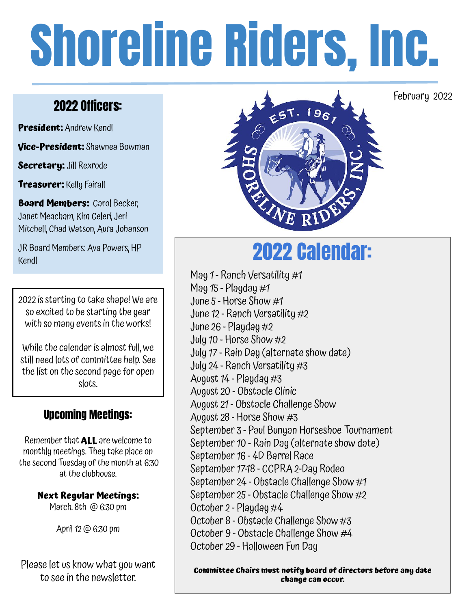# Shoreline Riders, Inc.

# 2022 Officers:

**President:** Andrew Kendl

**Vice-President:** Shawnea Bowman

**Secretary:** Jill Rexrode

**Treasurer:** Kelly Fairall

**Board Members: Carol Becker,** Janet Meacham, Kim Celeri, Jeri Mitchell, Chad Watson, Aura Johanson

JR Board Members: Ava Powers, HP JR Board Members: Ava Powers, HP<br>Kendl

2022 is starting to take shape! We are so excited to be starting the year with so many events in the works!

While the calendar is almost full, we still need lots of committee help. See the list on the second page for open slots.

## Upcoming Meetings:

Remember that **ALL** are welcome to monthly meetings. They take place on the second Tuesday of the month at 6:30 at the clubhouse.

> **Next Regular Meetings:**  March. 8th @ 6:30 pm

> > April 12 @ 6:30 pm

Please let us know what you want to see in the newsletter.



May 1 - Ranch Versatility #1 May  $15$  - Playday  $#1$ June 5 - Horse Show #1 June 12 - Ranch Versatility #2 June 26 - Playday #2 July 10 - Horse Show #2 July 17 - Rain Day (alternate show date) July 24 - Ranch Versatility #3 August 14 - Playday #3 August 20 - Obstacle Clinic August 21 - Obstacle Challenge Show August 28 - Horse Show #3 September 3 - Paul Bunyan Horseshoe Tournament September 10 - Rain Day (alternate show date) September 16 - 4D Barrel Race September 17-18 - CCPRA 2-Day Rodeo September 24 - Obstacle Challenge Show #1 September 25 - Obstacle Challenge Show #2 October 2 - Playday #4 October 8 - Obstacle Challenge Show #3 October 9 - Obstacle Challenge Show #4 October 29 - Halloween Fun Day

**Committee Chairs must notify board of directors before any date change can occur.** 

February 2022